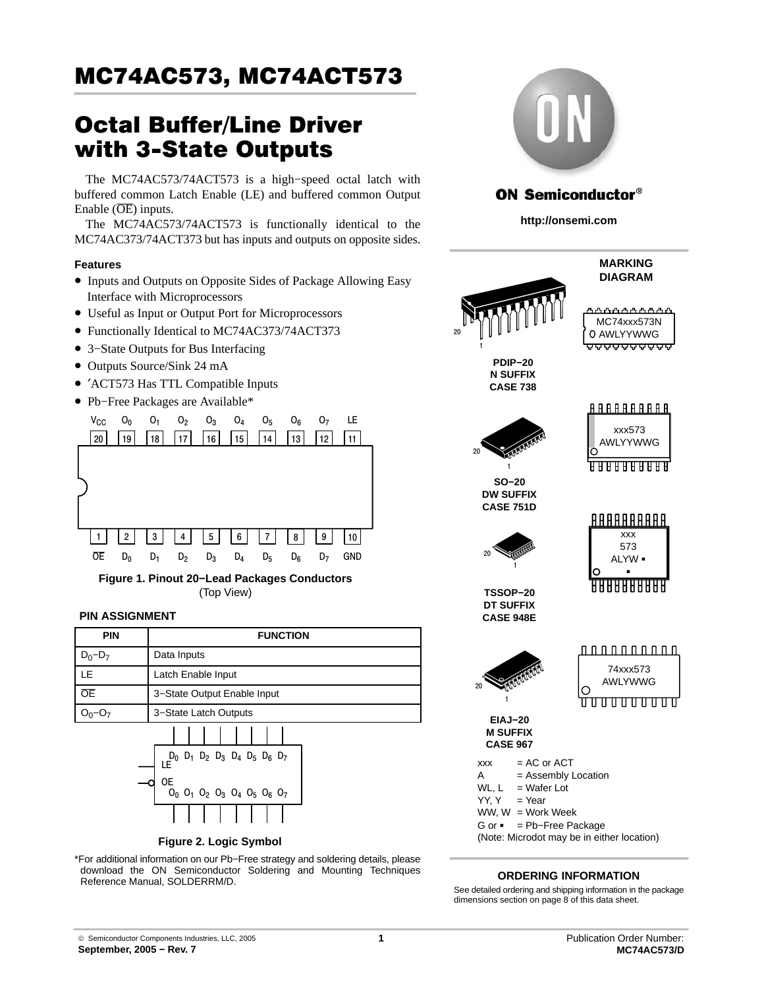# Octal Buffer/Line Driver with 3−State Outputs

The MC74AC573/74ACT573 is a high−speed octal latch with buffered common Latch Enable (LE) and buffered common Output Enable  $(\overline{OE})$  inputs.

The MC74AC573/74ACT573 is functionally identical to the MC74AC373/74ACT373 but has inputs and outputs on opposite sides.

## **Features**

- Inputs and Outputs on Opposite Sides of Package Allowing Easy Interface with Microprocessors
- Useful as Input or Output Port for Microprocessors
- Functionally Identical to MC74AC373/74ACT373
- 3−State Outputs for Bus Interfacing
- Outputs Source/Sink 24 mA
- ′ACT573 Has TTL Compatible Inputs
- Pb−Free Packages are Available\*



**Figure 1. Pinout 20−Lead Packages Conductors** (Top View)

### **PIN ASSIGNMENT**

| <b>PIN</b>  | <b>FUNCTION</b>                                 |
|-------------|-------------------------------------------------|
| $D_0 - D_7$ | Data Inputs                                     |
| LE          | Latch Enable Input                              |
| <b>OE</b>   | 3-State Output Enable Input                     |
|             | 3-State Latch Outputs                           |
|             | $D_0$ $D_1$ $D_2$ $D_3$ $D_4$ $D_5$ $D_6$ $D_7$ |



**Figure 2. Logic Symbol**

\*For additional information on our Pb−Free strategy and soldering details, please download the ON Semiconductor Soldering and Mounting Techniques Reference Manual, SOLDERRM/D.



## **ON Semiconductor®**

**http://onsemi.com**



## **ORDERING INFORMATION**

See detailed ordering and shipping information in the package dimensions section on page [8 of this data sheet.](#page-7-0)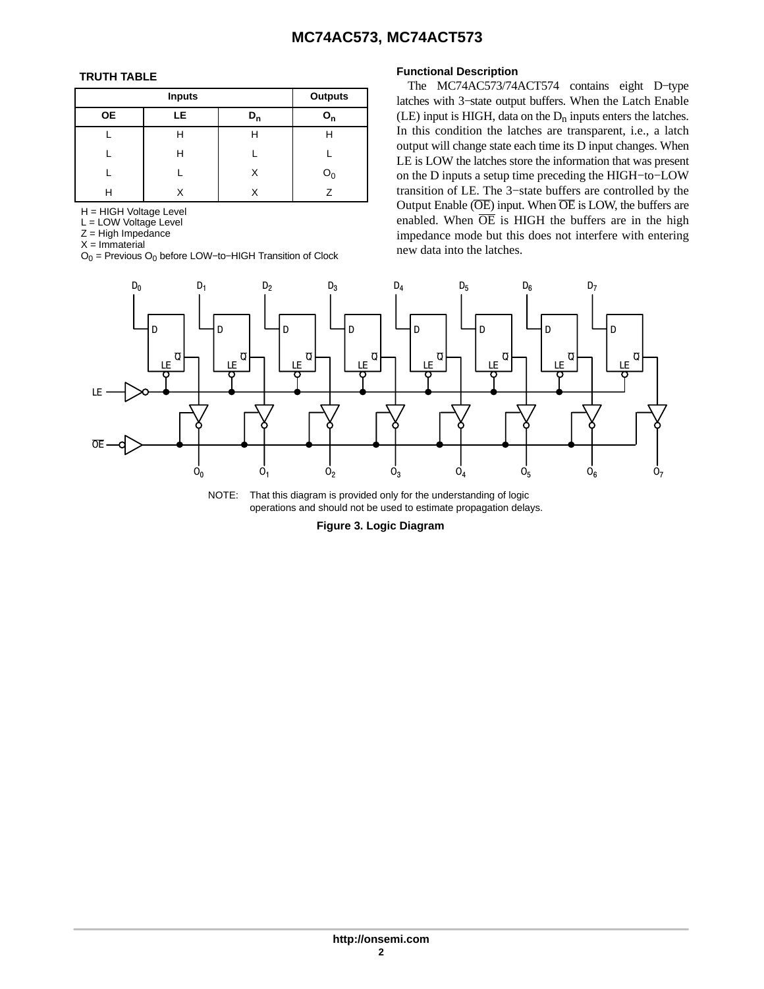## **TRUTH TABLE**

|           | <b>Outputs</b> |       |                           |
|-----------|----------------|-------|---------------------------|
| <b>OE</b> | LE             | $D_n$ | $\mathsf{o}_{\mathsf{n}}$ |
|           | Н              | н     | Н                         |
|           | н              |       |                           |
|           |                | Χ     | $O_0$                     |
| Н         |                |       |                           |

H = HIGH Voltage Level

L = LOW Voltage Level

 $Z =$  High Impedance

 $X = Immaterial$ 

 $O_0$  = Previous  $O_0$  before LOW–to–HIGH Transition of Clock

## **Functional Description**

The MC74AC573/74ACT574 contains eight D−type latches with 3−state output buffers. When the Latch Enable  $(LE)$  input is HIGH, data on the  $D_n$  inputs enters the latches. In this condition the latches are transparent, i.e., a latch output will change state each time its D input changes. When LE is LOW the latches store the information that was present on the D inputs a setup time preceding the HIGH−to−LOW transition of LE. The 3−state buffers are controlled by the Output Enable  $(\overline{OE})$  input. When  $\overline{OE}$  is LOW, the buffers are enabled. When  $\overline{OE}$  is HIGH the buffers are in the high impedance mode but this does not interfere with entering new data into the latches.



NOTE: That this diagram is provided only for the understanding of logic operations and should not be used to estimate propagation delays.

**Figure 3. Logic Diagram**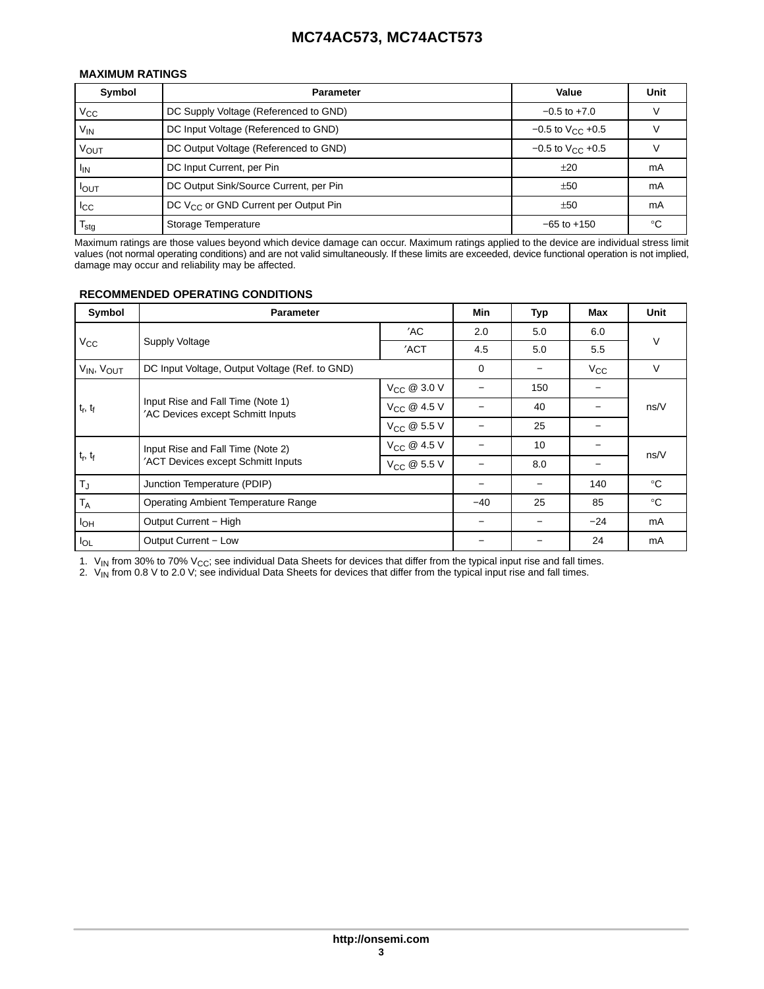## **MAXIMUM RATINGS**

| Symbol           | <b>Parameter</b>                                 | Value                   | Unit |
|------------------|--------------------------------------------------|-------------------------|------|
| $V_{\rm CC}$     | DC Supply Voltage (Referenced to GND)            | $-0.5$ to $+7.0$        |      |
| V <sub>IN</sub>  | DC Input Voltage (Referenced to GND)             | $-0.5$ to $V_{CC}$ +0.5 |      |
| Vout             | DC Output Voltage (Referenced to GND)            | $-0.5$ to $V_{C}$ +0.5  |      |
| <sup>I</sup> IN  | DC Input Current, per Pin                        | ±20                     | mA   |
| $I_{OUT}$        | DC Output Sink/Source Current, per Pin           | ±50                     | mA   |
| $_{\rm{lcc}}$    | DC V <sub>CC</sub> or GND Current per Output Pin | ±50                     | mA   |
| $I_{\text{stq}}$ | Storage Temperature                              | $-65$ to $+150$         | ം    |

Maximum ratings are those values beyond which device damage can occur. Maximum ratings applied to the device are individual stress limit values (not normal operating conditions) and are not valid simultaneously. If these limits are exceeded, device functional operation is not implied, damage may occur and reliability may be affected.

## **RECOMMENDED OPERATING CONDITIONS**

| Symbol                             | <b>Parameter</b>                                                       |                         |             | Typ | Max          | Unit         |
|------------------------------------|------------------------------------------------------------------------|-------------------------|-------------|-----|--------------|--------------|
|                                    |                                                                        | 'AC                     | 2.0         | 5.0 | 6.0          |              |
| Vcc                                | Supply Voltage                                                         | 'ACT                    | 4.5         | 5.0 | 5.5          | V            |
| V <sub>IN</sub> , V <sub>OUT</sub> | DC Input Voltage, Output Voltage (Ref. to GND)                         |                         | $\mathbf 0$ |     | $V_{\rm CC}$ | V            |
|                                    |                                                                        | V <sub>CC</sub> @ 3.0 V |             | 150 |              |              |
| $t_{\rm r}$ , $t_{\rm f}$          | Input Rise and Fall Time (Note 1)<br>'AC Devices except Schmitt Inputs | V <sub>CC</sub> @ 4.5 V |             | 40  |              | ns/V         |
|                                    |                                                                        | V <sub>CC</sub> @ 5.5 V |             | 25  |              |              |
|                                    | Input Rise and Fall Time (Note 2)                                      | V <sub>CC</sub> @ 4.5 V |             | 10  |              |              |
| t <sub>r</sub> , t <sub>f</sub>    | 'ACT Devices except Schmitt Inputs                                     | V <sub>CC</sub> @ 5.5 V |             | 8.0 |              | ns/V         |
| $T_J$                              | Junction Temperature (PDIP)                                            |                         |             |     | 140          | $^{\circ}$ C |
| $T_A$                              | <b>Operating Ambient Temperature Range</b>                             |                         | $-40$       | 25  | 85           | $^{\circ}$ C |
| $I_{OH}$                           | Output Current - High                                                  |                         |             |     | $-24$        | mA           |
| $I_{OL}$                           | Output Current - Low                                                   |                         |             |     | 24           | mA           |

1.  $\rm V_{IN}$  from 30% to 70% V<sub>CC</sub>; see individual Data Sheets for devices that differ from the typical input rise and fall times.

2.  $V_{\text{IN}}$  from 0.8 V to 2.0 V; see individual Data Sheets for devices that differ from the typical input rise and fall times.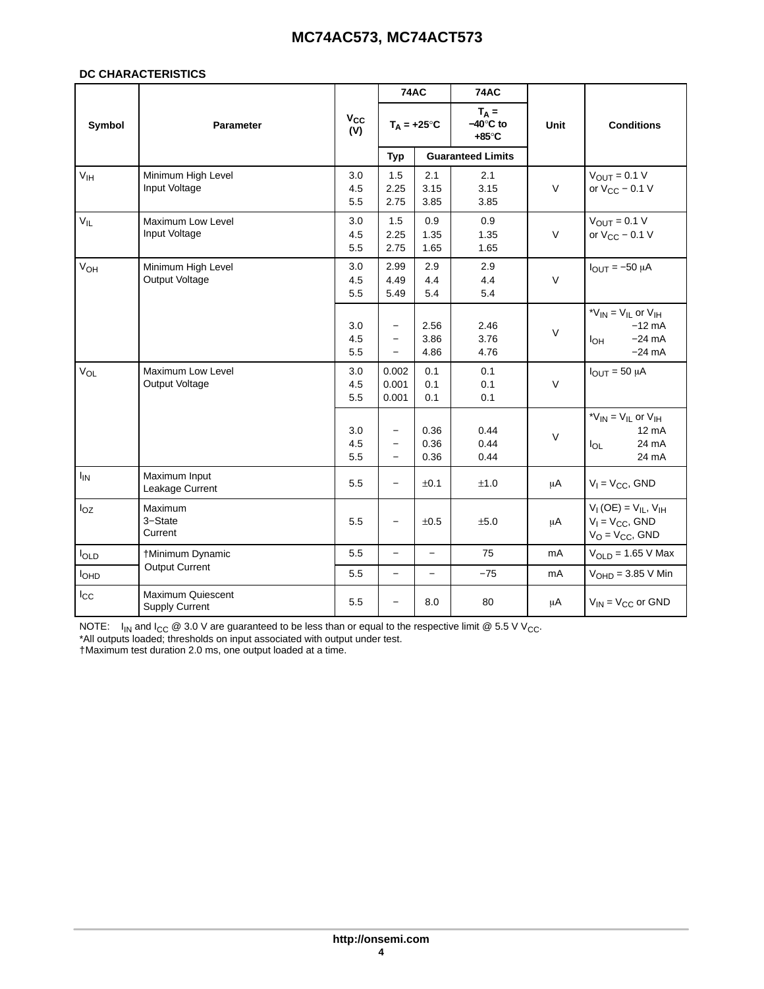#### **DC CHARACTERISTICS**

|                       |                                            |                   | <b>74AC</b>                                                      |                          | <b>74AC</b>                          |        |                                                                                                  |
|-----------------------|--------------------------------------------|-------------------|------------------------------------------------------------------|--------------------------|--------------------------------------|--------|--------------------------------------------------------------------------------------------------|
| Symbol                | Parameter                                  | $V_{CC}$<br>(V)   |                                                                  | $T_A = +25^{\circ}C$     | $T_A =$<br>$-40^\circ C$ to<br>+85°C | Unit   | <b>Conditions</b>                                                                                |
|                       |                                            |                   | <b>Typ</b>                                                       |                          | <b>Guaranteed Limits</b>             |        |                                                                                                  |
| V <sub>IH</sub>       | Minimum High Level<br>Input Voltage        | 3.0<br>4.5<br>5.5 | 1.5<br>2.25<br>2.75                                              | 2.1<br>3.15<br>3.85      | 2.1<br>3.15<br>3.85                  | $\vee$ | $V_{OUT} = 0.1 V$<br>or $V_{CC}$ – 0.1 V                                                         |
| $V_{IL}$              | Maximum Low Level<br>Input Voltage         | 3.0<br>4.5<br>5.5 | 1.5<br>2.25<br>2.75                                              | 0.9<br>1.35<br>1.65      | 0.9<br>1.35<br>1.65                  | $\vee$ | $V_{OUT} = 0.1 V$<br>or $V_{CC}$ – 0.1 V                                                         |
| <b>V<sub>OH</sub></b> | Minimum High Level<br>Output Voltage       | 3.0<br>4.5<br>5.5 | 2.99<br>4.49<br>5.49                                             | 2.9<br>4.4<br>5.4        | 2.9<br>4.4<br>5.4                    | $\vee$ | $I_{\text{OUT}} = -50 \mu A$                                                                     |
|                       |                                            | 3.0<br>4.5<br>5.5 | $\overline{\phantom{0}}$<br>$\overline{\phantom{0}}$<br>$\equiv$ | 2.56<br>3.86<br>4.86     | 2.46<br>3.76<br>4.76                 | $\vee$ | * $V_{IN}$ = $V_{IL}$ or $V_{IH}$<br>$-12$ mA<br>$-24 \text{ mA}$<br>l <sub>ОН</sub><br>$-24$ mA |
| $V_{OL}$              | Maximum Low Level<br>Output Voltage        | 3.0<br>4.5<br>5.5 | 0.002<br>0.001<br>0.001                                          | 0.1<br>0.1<br>0.1        | 0.1<br>0.1<br>0.1                    | $\vee$ | $I_{OUT} = 50 \mu A$                                                                             |
|                       |                                            | 3.0<br>4.5<br>5.5 | $\equiv$<br>$\overline{\phantom{0}}$<br>$\overline{\phantom{0}}$ | 0.36<br>0.36<br>0.36     | 0.44<br>0.44<br>0.44                 | $\vee$ | * $V_{IN}$ = $V_{IL}$ or $V_{IH}$<br>$12 \text{ mA}$<br>24 mA<br>$I_{OL}$<br>24 mA               |
| $I_{IN}$              | Maximum Input<br>Leakage Current           | 5.5               |                                                                  | ±0.1                     | ±1.0                                 | μA     | $V_1 = V_{CC}$ , GND                                                                             |
| $I_{OZ}$              | Maximum<br>3-State<br>Current              | 5.5               | $\qquad \qquad -$                                                | ±0.5                     | ±5.0                                 | μA     | $V_{I}$ (OE) = $V_{IL}$ , $V_{IH}$<br>$V_1 = V_{CC}$ , GND<br>$V_O = V_{CC}$ , GND               |
| loLD                  | †Minimum Dynamic                           | 5.5               | $\overline{\phantom{0}}$                                         | $\qquad \qquad -$        | 75                                   | mA     | $VOLD = 1.65 V Max$                                                                              |
| <b>I</b> OHD          | <b>Output Current</b>                      | 5.5               | $\qquad \qquad -$                                                | $\overline{\phantom{0}}$ | $-75$                                | mA     | $VOHD = 3.85 V Min$                                                                              |
| $I_{\rm CC}$          | Maximum Quiescent<br><b>Supply Current</b> | 5.5               | $\qquad \qquad -$                                                | 8.0                      | 80                                   | μA     | $V_{IN}$ = $V_{CC}$ or GND                                                                       |

NOTE:  $\;$  I<sub>IN</sub> and I<sub>CC</sub> @ 3.0 V are guaranteed to be less than or equal to the respective limit @ 5.5 V V<sub>CC</sub>.

\*All outputs loaded; thresholds on input associated with output under test.

†Maximum test duration 2.0 ms, one output loaded at a time.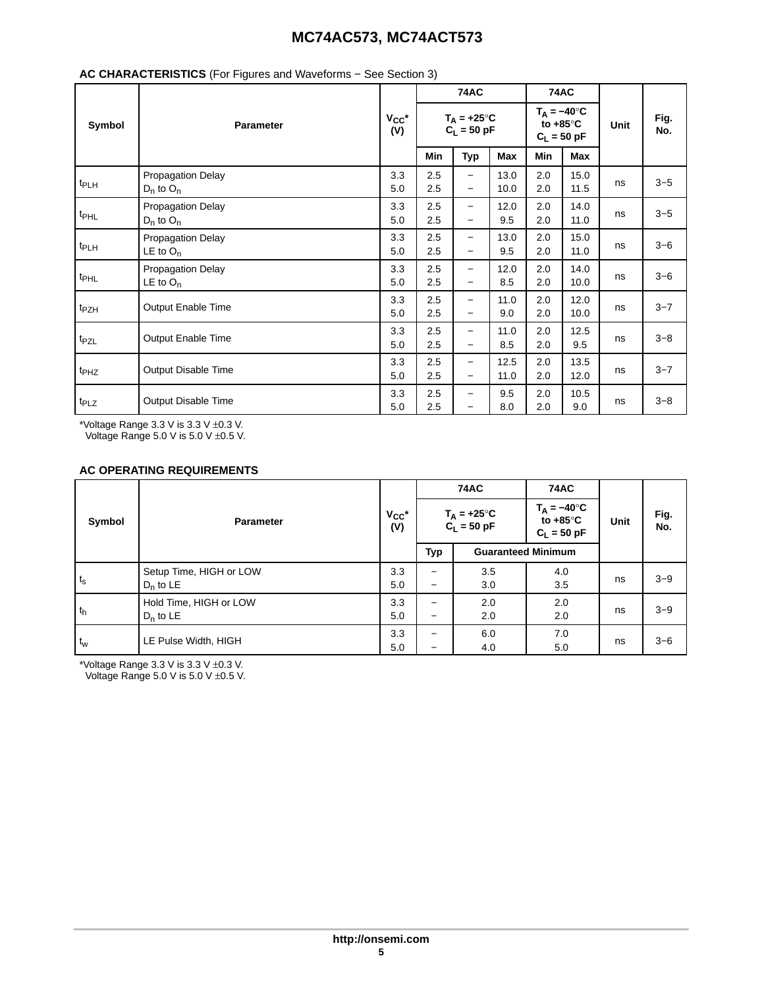|                  |                                         |                   |                                       | <b>74AC</b>                                   |              | <b>74AC</b>                                                |              |             |             |
|------------------|-----------------------------------------|-------------------|---------------------------------------|-----------------------------------------------|--------------|------------------------------------------------------------|--------------|-------------|-------------|
| Symbol           | <b>Parameter</b>                        | $V_{CC}$ *<br>(V) | $T_A = +25^{\circ}C$<br>$C_L = 50$ pF |                                               |              | $T_A = -40^\circ C$<br>to $+85^{\circ}$ C<br>$C_L = 50$ pF |              | <b>Unit</b> | Fig.<br>No. |
|                  |                                         |                   | Min                                   | <b>Typ</b>                                    | Max          | Min                                                        | Max          |             |             |
| $t_{PLH}$        | Propagation Delay<br>$D_n$ to $O_n$     | 3.3<br>5.0        | 2.5<br>2.5                            | $\qquad \qquad -$<br>$\overline{\phantom{0}}$ | 13.0<br>10.0 | 2.0<br>2.0                                                 | 15.0<br>11.5 | ns          | $3 - 5$     |
| t <sub>PHL</sub> | Propagation Delay<br>$D_n$ to $O_n$     | 3.3<br>5.0        | 2.5<br>2.5                            | $\qquad \qquad -$<br>$\overline{\phantom{0}}$ | 12.0<br>9.5  | 2.0<br>2.0                                                 | 14.0<br>11.0 | ns          | $3 - 5$     |
| t <sub>PLH</sub> | Propagation Delay<br>LE to $O_n$        | 3.3<br>5.0        | 2.5<br>2.5                            | $\qquad \qquad -$<br>$\overline{\phantom{m}}$ | 13.0<br>9.5  | 2.0<br>2.0                                                 | 15.0<br>11.0 | ns          | $3 - 6$     |
| t <sub>PHL</sub> | <b>Propagation Delay</b><br>LE to $O_n$ | 3.3<br>5.0        | 2.5<br>2.5                            | $\qquad \qquad -$<br>$\overline{\phantom{m}}$ | 12.0<br>8.5  | 2.0<br>2.0                                                 | 14.0<br>10.0 | ns          | $3 - 6$     |
| t <sub>PZH</sub> | <b>Output Enable Time</b>               | 3.3<br>5.0        | 2.5<br>2.5                            | $\qquad \qquad -$<br>$\overline{\phantom{m}}$ | 11.0<br>9.0  | 2.0<br>2.0                                                 | 12.0<br>10.0 | ns          | $3 - 7$     |
| t <sub>PZL</sub> | Output Enable Time                      | 3.3<br>5.0        | 2.5<br>2.5                            | $\qquad \qquad -$<br>$\overline{\phantom{m}}$ | 11.0<br>8.5  | 2.0<br>2.0                                                 | 12.5<br>9.5  | ns          | $3 - 8$     |
| t <sub>PHZ</sub> | Output Disable Time                     | 3.3<br>5.0        | 2.5<br>2.5                            | $\qquad \qquad -$<br>$\overline{\phantom{m}}$ | 12.5<br>11.0 | 2.0<br>2.0                                                 | 13.5<br>12.0 | ns          | $3 - 7$     |
| t <sub>PLZ</sub> | Output Disable Time                     | 3.3<br>5.0        | 2.5<br>2.5                            | $\overline{\phantom{0}}$                      | 9.5<br>8.0   | 2.0<br>2.0                                                 | 10.5<br>9.0  | ns          | $3 - 8$     |

## **AC CHARACTERISTICS** (For Figures and Waveforms − See Section 3)

\*Voltage Range 3.3 V is 3.3 V ±0.3 V.

Voltage Range 5.0 V is 5.0 V ±0.5 V.

## **AC OPERATING REQUIREMENTS**

|             |                                        |                   |                                       | <b>74AC</b>               | <b>74AC</b>                                                |      |             |
|-------------|----------------------------------------|-------------------|---------------------------------------|---------------------------|------------------------------------------------------------|------|-------------|
| Symbol      | <b>Parameter</b>                       | $V_{CC}$ *<br>(V) | $T_A = +25^{\circ}C$<br>$C_L = 50$ pF |                           | $T_A = -40^\circ C$<br>to $+85^{\circ}$ C<br>$C_L = 50$ pF | Unit | Fig.<br>No. |
|             |                                        |                   | <b>Typ</b>                            | <b>Guaranteed Minimum</b> |                                                            |      |             |
| $t_{\rm s}$ | Setup Time, HIGH or LOW<br>$D_n$ to LE | 3.3<br>5.0        | —<br>-                                | 3.5<br>3.0                | 4.0<br>3.5                                                 | ns   | $3 - 9$     |
| $t_h$       | Hold Time, HIGH or LOW<br>$D_n$ to LE  | 3.3<br>5.0        | -<br>—                                | 2.0<br>2.0                | 2.0<br>2.0                                                 | ns   | $3 - 9$     |
| $t_w$       | LE Pulse Width, HIGH                   | 3.3<br>5.0        | -<br>-                                | 6.0<br>4.0                | 7.0<br>5.0                                                 | ns   | $3 - 6$     |

\*Voltage Range 3.3 V is 3.3 V ±0.3 V.

Voltage Range 5.0 V is 5.0 V  $\pm$ 0.5 V.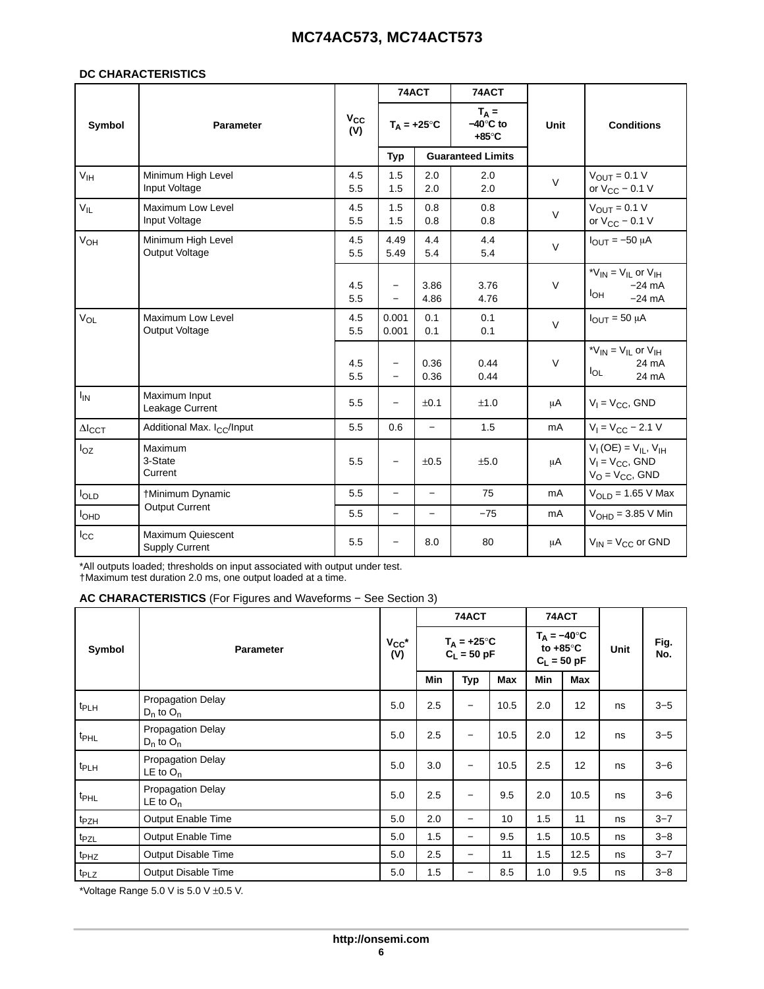#### **DC CHARACTERISTICS**

|                          |                                                   |                 | 74ACT                    |                          | 74ACT                    |                |                                                                                       |             |                   |
|--------------------------|---------------------------------------------------|-----------------|--------------------------|--------------------------|--------------------------|----------------|---------------------------------------------------------------------------------------|-------------|-------------------|
| Symbol                   | <b>Parameter</b>                                  | $V_{CC}$<br>(V) | $T_A = +25^{\circ}C$     |                          |                          |                | $T_A =$<br>$-40^\circ C$ to<br>$+85^\circ C$                                          | <b>Unit</b> | <b>Conditions</b> |
|                          |                                                   |                 | <b>Typ</b>               |                          | <b>Guaranteed Limits</b> |                |                                                                                       |             |                   |
| V <sub>IH</sub>          | Minimum High Level<br>Input Voltage               | 4.5<br>5.5      | 1.5<br>1.5               | 2.0<br>2.0               | 2.0<br>2.0               | $\vee$         | $V_{\text{OUT}} = 0.1 V$<br>or $V_{CC}$ – 0.1 V                                       |             |                   |
| $V_{IL}$                 | Maximum Low Level<br>Input Voltage                | 4.5<br>5.5      | 1.5<br>1.5               | 0.8<br>0.8               | 0.8<br>0.8               | $\vee$         | $V_{OUT} = 0.1 V$<br>or $V_{CC}$ – 0.1 V                                              |             |                   |
| V <sub>OH</sub>          | Minimum High Level<br>Output Voltage              | 4.5<br>5.5      | 4.49<br>5.49             | 4.4<br>5.4               | 4.4<br>5.4               | $\vee$         | $I_{\text{OUT}} = -50 \mu A$                                                          |             |                   |
|                          |                                                   | 4.5<br>5.5      | $\overline{\phantom{0}}$ | 3.86<br>4.86             | 3.76<br>4.76             | $\vee$         | * $V_{IN}$ = $V_{IL}$ or $V_{IH}$<br>$-24 \text{ mA}$<br>$I_{OH}$<br>$-24 \text{ mA}$ |             |                   |
| VOL                      | <b>Maximum Low Level</b><br><b>Output Voltage</b> | 4.5<br>5.5      | 0.001<br>0.001           | 0.1<br>0.1               | 0.1<br>0.1               | $\vee$         | $I_{OUT} = 50 \mu A$                                                                  |             |                   |
|                          |                                                   | 4.5<br>5.5      | $\overline{\phantom{0}}$ | 0.36<br>0.36             | 0.44<br>0.44             | $\vee$         | * $V_{IN}$ = $V_{IL}$ or $V_{IH}$<br>24 mA<br>$I_{OL}$<br>24 mA                       |             |                   |
| $I_{IN}$                 | Maximum Input<br>Leakage Current                  | 5.5             | $\overline{\phantom{0}}$ | ±0.1                     | ±1.0                     | μA             | $V_1 = V_{CC}$ , GND                                                                  |             |                   |
| $\Delta$ <sub>ICCT</sub> | Additional Max. I <sub>CC</sub> /Input            | 5.5             | 0.6                      | $\overline{\phantom{0}}$ | 1.5                      | m <sub>A</sub> | $V_1 = V_{CC} - 2.1 V$                                                                |             |                   |
| $I_{OZ}$                 | Maximum<br>3-State<br>Current                     | 5.5             | $\equiv$                 | ±0.5                     | ±5.0                     | μA             | $V_{I}$ (OE) = $V_{II}$ , $V_{IH}$<br>$V_1 = V_{CC}$ , GND<br>$V_O = V_{CC}$ , GND    |             |                   |
| loLD                     | †Minimum Dynamic                                  | 5.5             | $\overline{\phantom{0}}$ | $\overline{\phantom{m}}$ | 75                       | mA             | $VOLD = 1.65 V Max$                                                                   |             |                   |
| <b>I</b> OHD             | <b>Output Current</b>                             | 5.5             | $\overline{\phantom{0}}$ | $\qquad \qquad -$        | $-75$                    | mA             | $VOHD = 3.85 V Min$                                                                   |             |                   |
| $I_{\rm CC}$             | Maximum Quiescent<br><b>Supply Current</b>        | 5.5             | $\overline{\phantom{0}}$ | 8.0                      | 80                       | μA             | $V_{IN} = V_{CC}$ or GND                                                              |             |                   |

\*All outputs loaded; thresholds on input associated with output under test. †Maximum test duration 2.0 ms, one output loaded at a time.

**AC CHARACTERISTICS** (For Figures and Waveforms − See Section 3)

|                  |                                            |                   |                                      | 74ACT                    |                                                            | 74ACT |      |             |         |
|------------------|--------------------------------------------|-------------------|--------------------------------------|--------------------------|------------------------------------------------------------|-------|------|-------------|---------|
| Symbol           | <b>Parameter</b>                           | $V_{CC}$ *<br>(V) | $T_A = +25^\circ C$<br>$C_L = 50$ pF |                          | $T_A = -40^\circ C$<br>to $+85^{\circ}$ C<br>$C_L = 50$ pF |       | Unit | Fig.<br>No. |         |
|                  |                                            |                   | Min                                  | <b>Typ</b>               | Max                                                        | Min   | Max  |             |         |
| t <sub>PLH</sub> | <b>Propagation Delay</b><br>$D_n$ to $O_n$ | 5.0               | 2.5                                  | $\qquad \qquad -$        | 10.5                                                       | 2.0   | 12   | ns          | $3 - 5$ |
| t <sub>PHL</sub> | <b>Propagation Delay</b><br>$D_n$ to $O_n$ | 5.0               | 2.5                                  | $\overline{\phantom{0}}$ | 10.5                                                       | 2.0   | 12   | ns          | $3 - 5$ |
| t <sub>PLH</sub> | <b>Propagation Delay</b><br>LE to $O_n$    | 5.0               | 3.0                                  | $\overline{\phantom{0}}$ | 10.5                                                       | 2.5   | 12   | ns          | $3 - 6$ |
| t <sub>PHL</sub> | <b>Propagation Delay</b><br>LE to $O_n$    | 5.0               | 2.5                                  | $\overline{\phantom{0}}$ | 9.5                                                        | 2.0   | 10.5 | ns          | $3 - 6$ |
| t <sub>PZH</sub> | <b>Output Enable Time</b>                  | 5.0               | 2.0                                  | $\qquad \qquad -$        | 10                                                         | 1.5   | 11   | ns          | $3 - 7$ |
| t <sub>PZL</sub> | <b>Output Enable Time</b>                  | 5.0               | 1.5                                  | $\overline{\phantom{m}}$ | 9.5                                                        | 1.5   | 10.5 | ns          | $3 - 8$ |
| t <sub>PHZ</sub> | Output Disable Time                        | 5.0               | 2.5                                  | $\overline{\phantom{0}}$ | 11                                                         | 1.5   | 12.5 | ns          | $3 - 7$ |
| t <sub>PLZ</sub> | Output Disable Time                        | 5.0               | 1.5                                  | -                        | 8.5                                                        | 1.0   | 9.5  | ns          | $3 - 8$ |

\*Voltage Range 5.0 V is 5.0 V  $\pm$ 0.5 V.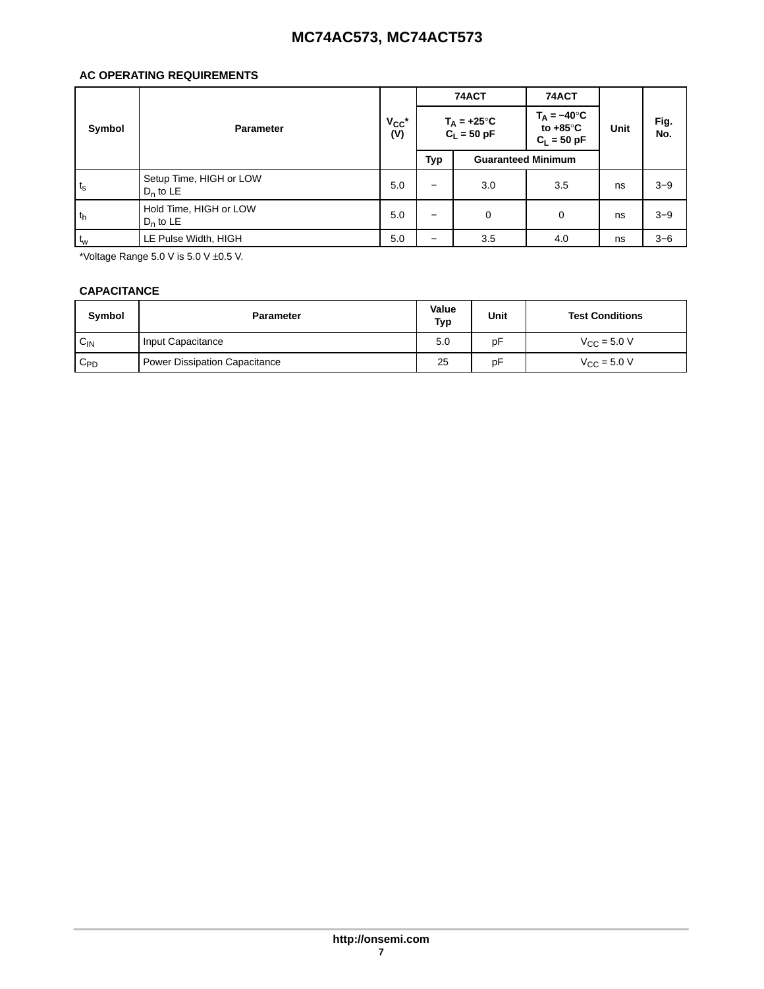## **AC OPERATING REQUIREMENTS**

|                |                                        |                   |                                       | 74ACT                     | 74ACT |    |                                                                    |      |             |
|----------------|----------------------------------------|-------------------|---------------------------------------|---------------------------|-------|----|--------------------------------------------------------------------|------|-------------|
| Symbol         | <b>Parameter</b>                       | $V_{CC}$ *<br>(V) | $T_A = +25^{\circ}C$<br>$C_L = 50$ pF |                           |       |    | $T_{\Delta} = -40^{\circ}C$<br>to $+85^{\circ}$ C<br>$C_1 = 50 pF$ | Unit | Fig.<br>No. |
|                |                                        |                   | Typ                                   | <b>Guaranteed Minimum</b> |       |    |                                                                    |      |             |
| $t_{\rm s}$    | Setup Time, HIGH or LOW<br>$D_n$ to LE | 5.0               | -                                     | 3.0                       | 3.5   | ns | $3 - 9$                                                            |      |             |
| t <sub>h</sub> | Hold Time, HIGH or LOW<br>$D_n$ to LE  | 5.0               |                                       | 0                         | 0     | ns | $3 - 9$                                                            |      |             |
| $t_w$          | LE Pulse Width, HIGH                   | 5.0               | -                                     | 3.5                       | 4.0   | ns | $3 - 6$                                                            |      |             |

\*Voltage Range  $5.0$  V is  $5.0$  V  $\pm 0.5$  V.

### **CAPACITANCE**

| <b>Symbol</b> | <b>Parameter</b>                     | Value<br>Typ | Unit | <b>Test Conditions</b> |
|---------------|--------------------------------------|--------------|------|------------------------|
| $C_{IN}$      | Input Capacitance                    | 5.0          | pF   | $V_{\rm CC}$ = 5.0 V   |
| $C_{PD}$      | <b>Power Dissipation Capacitance</b> | 25           | pF   | $V_{\rm CC}$ = 5.0 V   |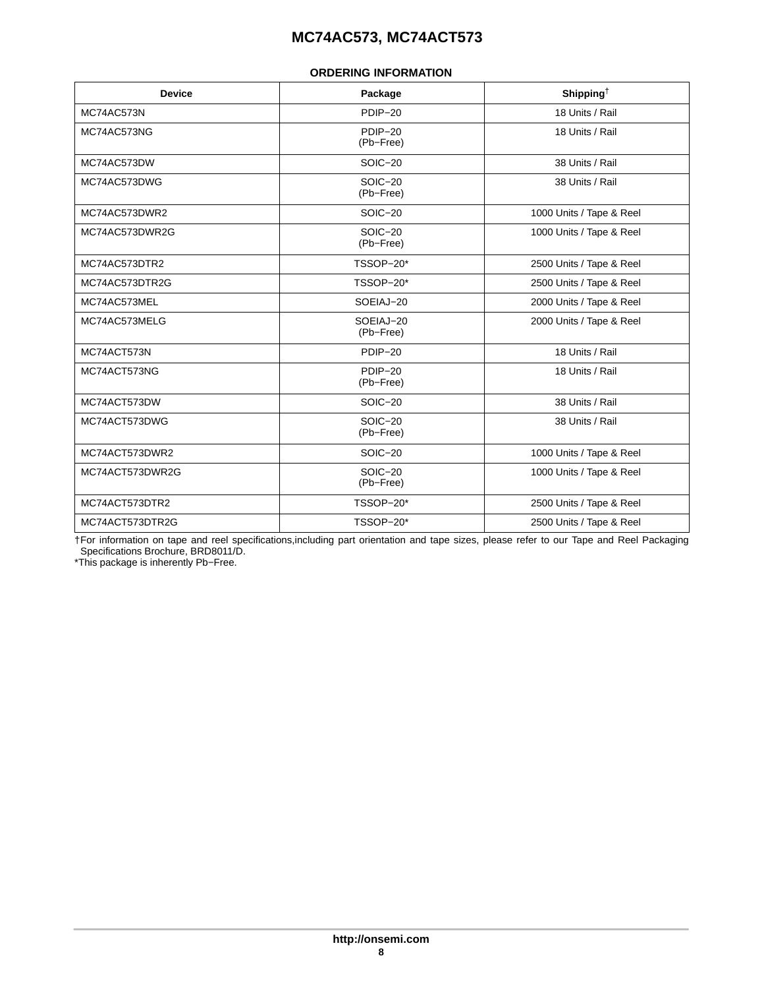#### **ORDERING INFORMATION**

<span id="page-7-0"></span>

| <b>Device</b>   | Package                | Shipping <sup>+</sup>    |
|-----------------|------------------------|--------------------------|
| MC74AC573N      | PDIP-20                | 18 Units / Rail          |
| MC74AC573NG     | PDIP-20<br>(Pb-Free)   | 18 Units / Rail          |
| MC74AC573DW     | $SOIC-20$              | 38 Units / Rail          |
| MC74AC573DWG    | SOIC-20<br>(Pb-Free)   | 38 Units / Rail          |
| MC74AC573DWR2   | $SOIC-20$              | 1000 Units / Tape & Reel |
| MC74AC573DWR2G  | SOIC-20<br>(Pb-Free)   | 1000 Units / Tape & Reel |
| MC74AC573DTR2   | TSSOP-20*              | 2500 Units / Tape & Reel |
| MC74AC573DTR2G  | TSSOP-20*              | 2500 Units / Tape & Reel |
| MC74AC573MEL    | SOEIAJ-20              | 2000 Units / Tape & Reel |
| MC74AC573MELG   | SOEIAJ-20<br>(Pb-Free) | 2000 Units / Tape & Reel |
| MC74ACT573N     | PDIP-20                | 18 Units / Rail          |
| MC74ACT573NG    | PDIP-20<br>(Pb-Free)   | 18 Units / Rail          |
| MC74ACT573DW    | SOIC-20                | 38 Units / Rail          |
| MC74ACT573DWG   | SOIC-20<br>(Pb-Free)   | 38 Units / Rail          |
| MC74ACT573DWR2  | $SOIC-20$              | 1000 Units / Tape & Reel |
| MC74ACT573DWR2G | SOIC-20<br>(Pb-Free)   | 1000 Units / Tape & Reel |
| MC74ACT573DTR2  | TSSOP-20*              | 2500 Units / Tape & Reel |
| MC74ACT573DTR2G | TSSOP-20*              | 2500 Units / Tape & Reel |

†For information on tape and reel specifications,including part orientation and tape sizes, please refer to our Tape and Reel Packaging Specifications Brochure, BRD8011/D.

\*This package is inherently Pb−Free.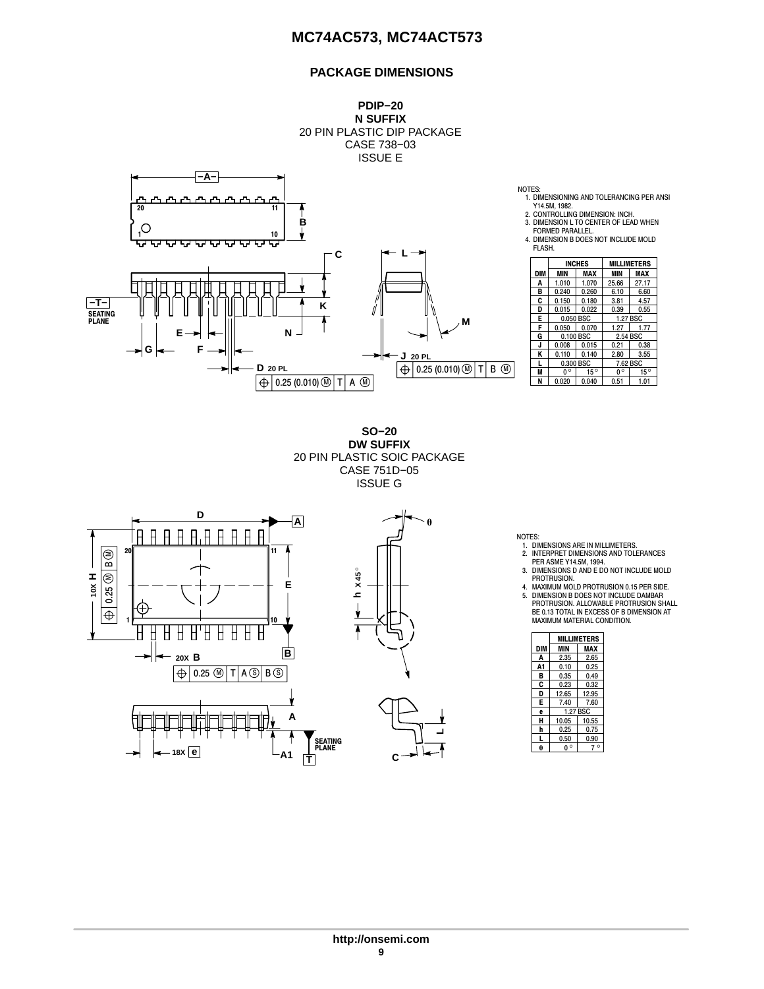## **PACKAGE DIMENSIONS**



**SO−20 DW SUFFIX** 20 PIN PLASTIC SOIC PACKAGE CASE 751D−05 ISSUE G



NOTES:

- 1. DIMENSIONS ARE IN MILLIMETERS. 2. INTERPRET DIMENSIONS AND TOLERANCES
- PER ASME Y14.5M, 1994. 3. DIMENSIONS D AND E DO NOT INCLUDE MOLD<br>PROTRUSION.

 $\begin{array}{|c|c|c|c|}\n\hline\n0^{\circ} & 15^{\circ} \\
\hline\n0.51 & 1.01\n\end{array}$ 

- 
- PROTRUSION. 4. MAXIMUM MOLD PROTRUSION 0.15 PER SIDE. 5. DIMENSION B DOES NOT INCLUDE DAMBAR PROTRUSION. ALLOWABLE PROTRUSION SHALL BE 0.13 TOTAL IN EXCESS OF B DIMENSION AT MAXIMUM MATERIAL CONDITION.

|     | MILLIMETERS |       |  |  |
|-----|-------------|-------|--|--|
| DIM | MIN         | MAX   |  |  |
| A   | 2.35        | 2.65  |  |  |
| A1  | 0.10        | 0.25  |  |  |
| B   | 0.35        | 0.49  |  |  |
| C   | 0.23        | 0.32  |  |  |
| D   | 12.65       | 12.95 |  |  |
| Е   | 7.40        | 7.60  |  |  |
| ė   | 1.27 BSC    |       |  |  |
| н   | 10.05       | 10.55 |  |  |
| h   | 0.25        | 0.75  |  |  |
| L   | 0.50        | 0.90  |  |  |
|     | $\circ$     | Ċ     |  |  |

**L**

 $\theta$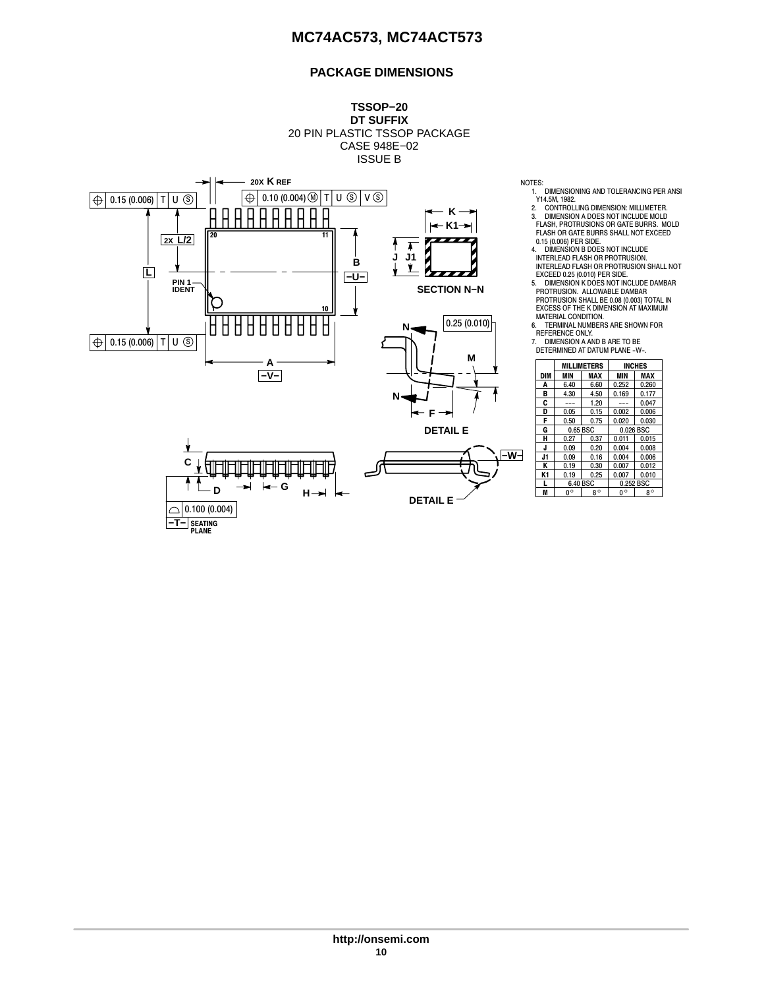## **PACKAGE DIMENSIONS**



- 
- 
- 1. DIMENSIONING AND TOLERANCING PER ANSI<br>1944 M., 1982.<br>2. CONTROLLING DIMENSION: MILLIMETER.<br>3. DIMENSION A DOES NOT INCLUDE MOLD<br>FLASH, PROTRUSIONS OR GATE BURRS. MOLD FLASH OR GATE BURRS SHALL NOT EXCEED 0.15 (0.006) PER SIDE.
- 
- 
- 5. DIMENSION K DOES NOT INCLUDE DAMBAR PROTRUSION. ALLOWABLE DAMBAR PROTRUSION SHALL BE 0.08 (0.003) TOTAL IN EXCESS OF THE K DIMENSION AT MAXIMUM ÍÍÍ
	- MATERIAL CONDITION. 6. TERMINAL NUMBERS ARE SHOWN FOR REFERENCE ONLY.
	- 7. DIMENSION A AND B ARE TO BE<br>DETERMINED AT DATUM PLANE -W-.

|     |             | <b>MILLIMETERS</b> | <b>INCHES</b> |           |  |
|-----|-------------|--------------------|---------------|-----------|--|
| DIM | MIN         | MAX                | MIN           | MAX       |  |
| A   | 6.40        | 6.60               | 0.252         | 0.260     |  |
| в   | 4.30        | 4.50               | 0.169         | 0.177     |  |
| C   |             | 1.20               |               | 0.047     |  |
| D   | 0.05        | 0.15               | 0.002         | 0.006     |  |
| F   | 0.50        | 0.75               | 0.020         | 0.030     |  |
| G   | 0.65 BSC    |                    | 0.026 BSC     |           |  |
| н   | 0.27        | 0.37               | 0.011         | 0.015     |  |
| J   | 0.09        | 0.20               | 0.004         | 0.008     |  |
| J1  | 0.09        | 0.16               | 0.004         | 0.006     |  |
| Κ   | 0.19        | 0.30               | 0.007         | 0.012     |  |
| K1  | 0.19        | 0.25               | 0.007         | 0.010     |  |
|     | 6.40 BSC    |                    | 0.252 BSC     |           |  |
| M   | $0^{\circ}$ | $8^\circ$          | $0^{\circ}$   | $8^\circ$ |  |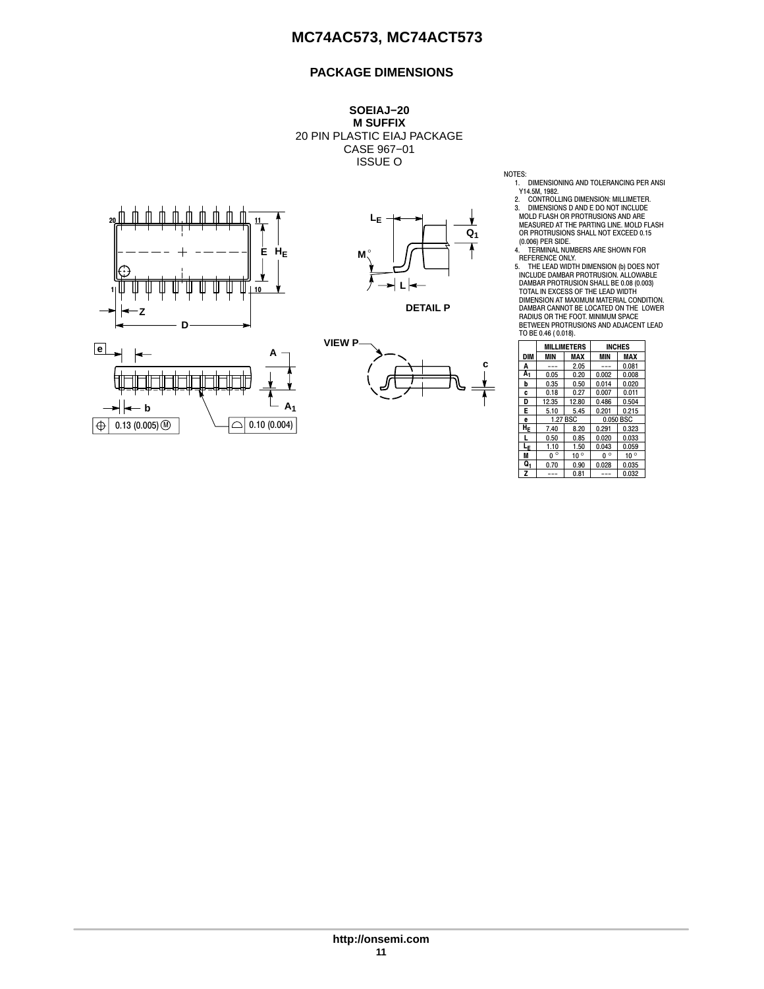## **PACKAGE DIMENSIONS**

**SOEIAJ−20 M SUFFIX** 20 PIN PLASTIC EIAJ PACKAGE CASE 967−01 ISSUE O



**b**  $0.13(0.005)$  M

 $|\oplus|$ 



**DETAIL P**



NOTES:<br>
1. DIMENSIONING AND TOLERANCING PER ANSI<br>
2. CONTROLLING DIMENSION: MILLIMETER<br>
2. CONTROLLING DIMENSION: MILLIMETER<br>
3. DIMENSIONS D AND E DO NOT INCLUDE<br>
MOLD FLASH OR PROTRUSIONS AND ARE<br>
MEASURED AT THE PARTING

TOTAL IN EXCESS OF THE LEAD WIDTH DIMENSION AT MAXIMUM MATERIAL CONDITION. DAMBAR CANNOT BE LOCATED ON THE LOWER RADIUS OR THE FOOT. MINIMUM SPACE BETWEEN PROTRUSIONS AND ADJACENT LEAD TO BE 0.46 ( 0.018).

|            | <b>MILLIMETERS</b> |              | <b>INCHES</b> |              |
|------------|--------------------|--------------|---------------|--------------|
| <b>DIM</b> | MIN                | MAX          | <b>MIN</b>    | MAX          |
| A          |                    | 2.05         |               | 0.081        |
| A1         | 0.05               | 0.20         | 0.002         | 0.008        |
| b          | 0.35               | 0.50         | 0.014         | 0.020        |
| c          | 0.18               | 0.27         | 0.007         | 0.011        |
| D          | 12.35              | 12.80        | 0.486         | 0.504        |
| Е          | 5.10               | 5.45         | 0.201         | 0.215        |
| e          | 1.27 BSC           |              | 0.050 BSC     |              |
| HE         | 7.40               | 8.20         | 0.291         | 0.323        |
| L          | 0.50               | 0.85         | 0.020         | 0.033        |
| Lε         | 1.10               | 1.50         | 0.043         | 0.059        |
| M          | $\circ$<br>U       | $10^{\circ}$ | $\circ$<br>U  | $10^{\circ}$ |
| Q1         | 0.70               | 0.90         | 0.028         | 0.035        |
| z          |                    | 0.81         |               | 0.032        |

**A1**

 $\Box$  0.10 (0.004)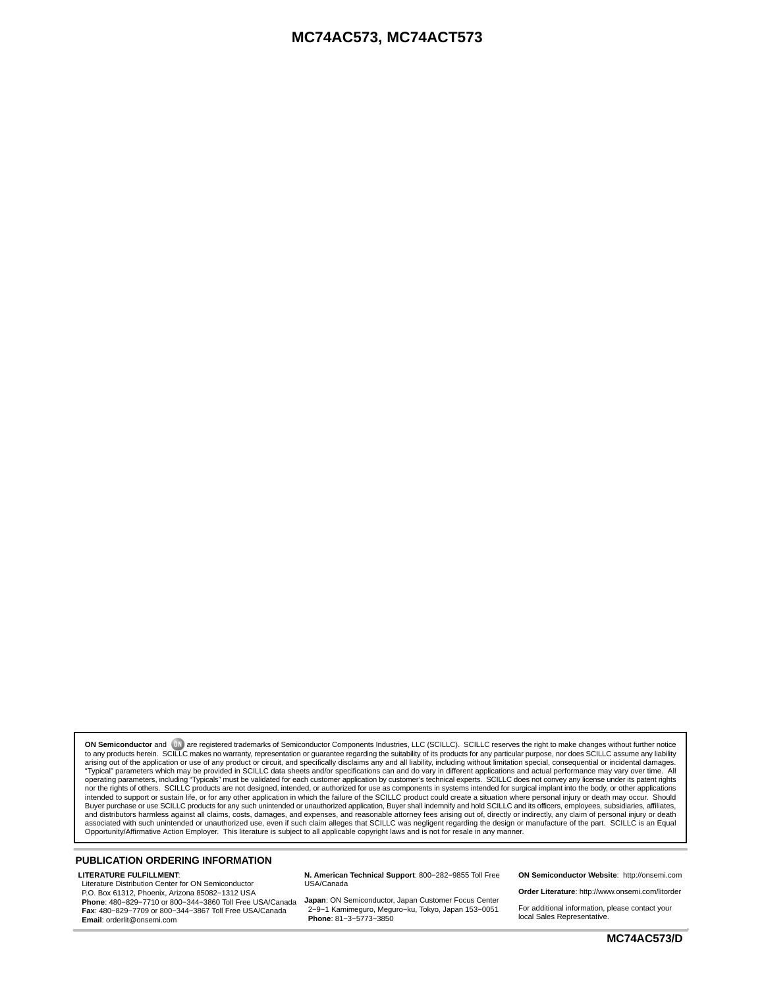**ON Semiconductor** and <sup>[BK]</sup> are registered trademarks of Semiconductor Components Industries, LLC (SCILLC). SCILLC reserves the right to make changes without further notice to any products herein. SCILLC makes no warranty, representation or guarantee regarding the suitability of its products for any particular purpose, nor does SCILLC assume any liability arising out of the application or use intended to support or sustain life, or for any other application in which the failure of the SCILLC product could create a situation where personal injury or death may occur. Should<br>Buyer purchase or use SCILLC products f associated with such unintended or unauthorized use, even if such claim alleges that SCILLC was negligent regarding the design or manufacture of the part. SCILLC is an Equal<br>Opportunity/Affirmative Action Employer. This

#### **PUBLICATION ORDERING INFORMATION**

#### **LITERATURE FULFILLMENT**:

Literature Distribution Center for ON Semiconductor P.O. Box 61312, Phoenix, Arizona 85082−1312 USA **Phone**: 480−829−7710 or 800−344−3860 Toll Free USA/Canada **Fax**: 480−829−7709 or 800−344−3867 Toll Free USA/Canada **Email**: orderlit@onsemi.com

**N. American Technical Support**: 800−282−9855 Toll Free USA/Canada

**Japan**: ON Semiconductor, Japan Customer Focus Center 2−9−1 Kamimeguro, Meguro−ku, Tokyo, Japan 153−0051 **Phone**: 81−3−5773−3850

**ON Semiconductor Website**: http://onsemi.com

**Order Literature**: http://www.onsemi.com/litorder

For additional information, please contact your local Sales Representative.